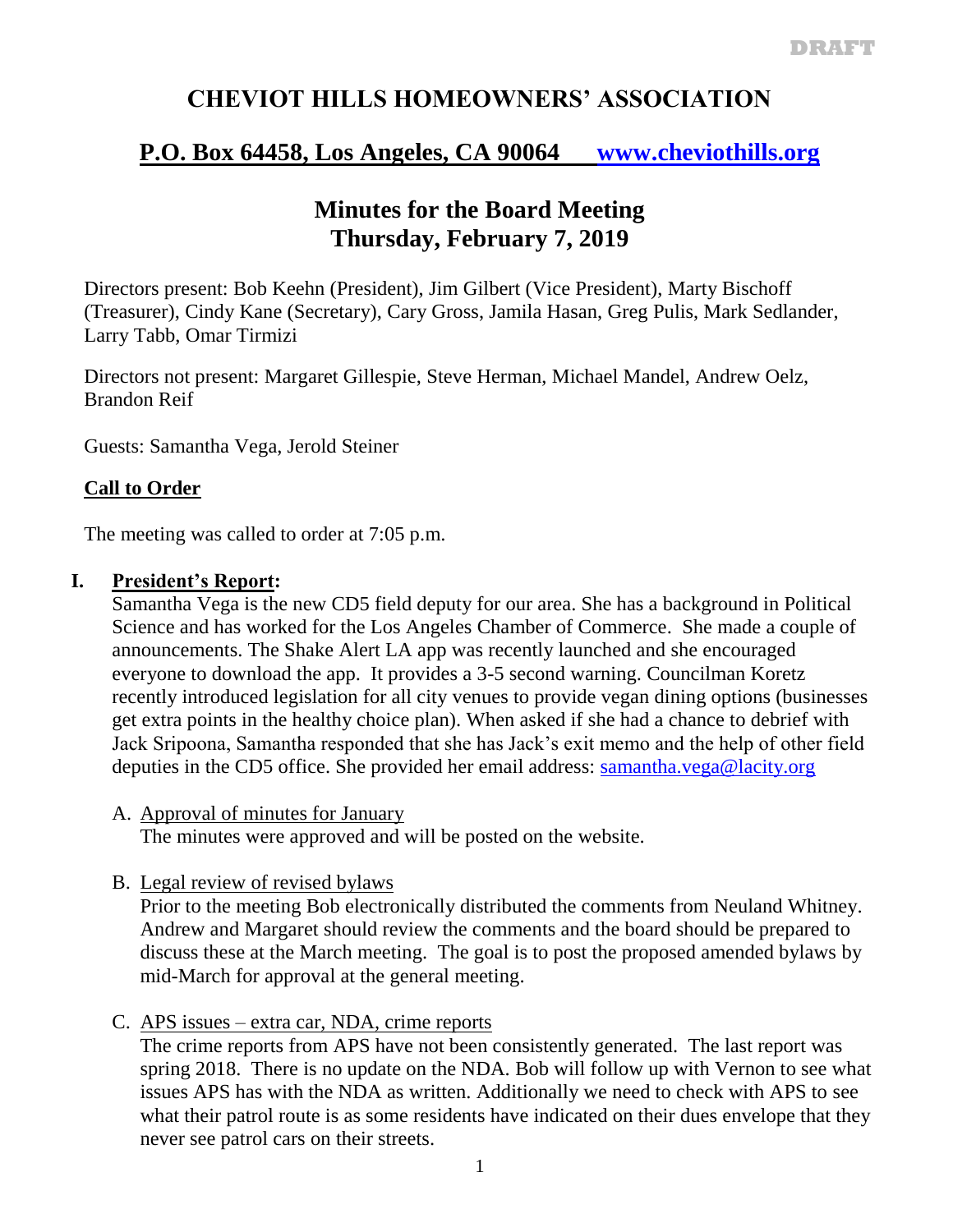# **CHEVIOT HILLS HOMEOWNERS' ASSOCIATION**

## **P.O. Box 64458, Los Angeles, CA 90064 [www.cheviothills.org](http://www.cheviothills.org/)**

## **Minutes for the Board Meeting Thursday, February 7, 2019**

Directors present: Bob Keehn (President), Jim Gilbert (Vice President), Marty Bischoff (Treasurer), Cindy Kane (Secretary), Cary Gross, Jamila Hasan, Greg Pulis, Mark Sedlander, Larry Tabb, Omar Tirmizi

Directors not present: Margaret Gillespie, Steve Herman, Michael Mandel, Andrew Oelz, Brandon Reif

Guests: Samantha Vega, Jerold Steiner

## **Call to Order**

The meeting was called to order at 7:05 p.m.

## **I. President's Report:**

Samantha Vega is the new CD5 field deputy for our area. She has a background in Political Science and has worked for the Los Angeles Chamber of Commerce. She made a couple of announcements. The Shake Alert LA app was recently launched and she encouraged everyone to download the app. It provides a 3-5 second warning. Councilman Koretz recently introduced legislation for all city venues to provide vegan dining options (businesses get extra points in the healthy choice plan). When asked if she had a chance to debrief with Jack Sripoona, Samantha responded that she has Jack's exit memo and the help of other field deputies in the CD5 office. She provided her email address: [samantha.vega@lacity.org](mailto:samantha.vega@lacity.org)

A. Approval of minutes for January

The minutes were approved and will be posted on the website.

B. Legal review of revised bylaws

Prior to the meeting Bob electronically distributed the comments from Neuland Whitney. Andrew and Margaret should review the comments and the board should be prepared to discuss these at the March meeting. The goal is to post the proposed amended bylaws by mid-March for approval at the general meeting.

C. APS issues – extra car, NDA, crime reports

The crime reports from APS have not been consistently generated. The last report was spring 2018. There is no update on the NDA. Bob will follow up with Vernon to see what issues APS has with the NDA as written. Additionally we need to check with APS to see what their patrol route is as some residents have indicated on their dues envelope that they never see patrol cars on their streets.